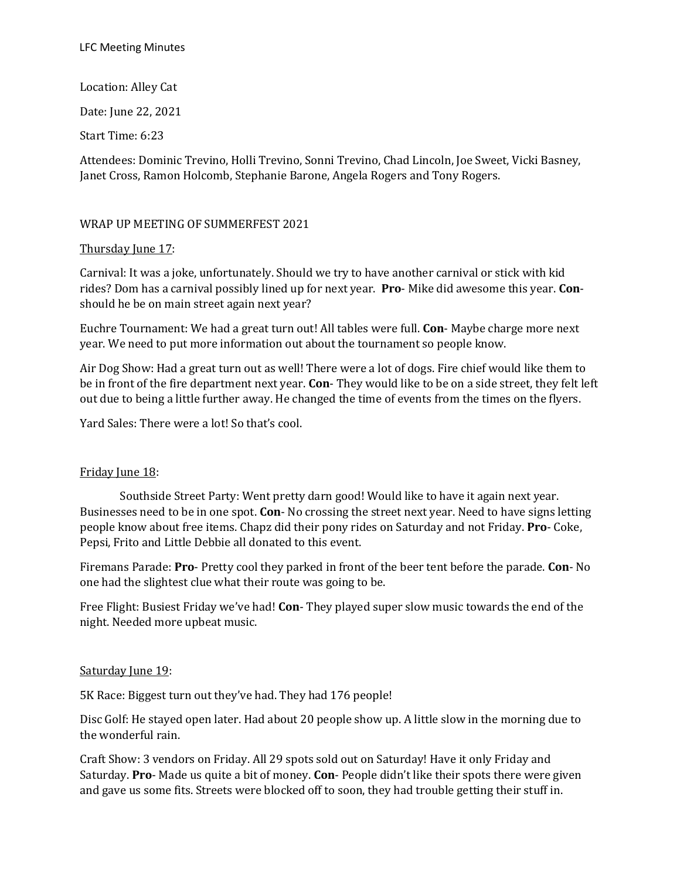Location: Alley Cat Date: June 22, 2021 Start Time: 6:23

Attendees: Dominic Trevino, Holli Trevino, Sonni Trevino, Chad Lincoln, Joe Sweet, Vicki Basney, Janet Cross, Ramon Holcomb, Stephanie Barone, Angela Rogers and Tony Rogers.

# WRAP UP MEETING OF SUMMERFEST 2021

### Thursday June 17:

Carnival: It was a joke, unfortunately. Should we try to have another carnival or stick with kid rides? Dom has a carnival possibly lined up for next year. **Pro**- Mike did awesome this year. **Con**should he be on main street again next year?

Euchre Tournament: We had a great turn out! All tables were full. **Con**- Maybe charge more next year. We need to put more information out about the tournament so people know.

Air Dog Show: Had a great turn out as well! There were a lot of dogs. Fire chief would like them to be in front of the fire department next year. **Con**- They would like to be on a side street, they felt left out due to being a little further away. He changed the time of events from the times on the flyers.

Yard Sales: There were a lot! So that's cool.

#### Friday June 18:

Southside Street Party: Went pretty darn good! Would like to have it again next year. Businesses need to be in one spot. **Con**- No crossing the street next year. Need to have signs letting people know about free items. Chapz did their pony rides on Saturday and not Friday. **Pro**- Coke, Pepsi, Frito and Little Debbie all donated to this event.

Firemans Parade: **Pro**- Pretty cool they parked in front of the beer tent before the parade. **Con**- No one had the slightest clue what their route was going to be.

Free Flight: Busiest Friday we've had! **Con**- They played super slow music towards the end of the night. Needed more upbeat music.

#### Saturday June 19:

5K Race: Biggest turn out they've had. They had 176 people!

Disc Golf: He stayed open later. Had about 20 people show up. A little slow in the morning due to the wonderful rain.

Craft Show: 3 vendors on Friday. All 29 spots sold out on Saturday! Have it only Friday and Saturday. **Pro**- Made us quite a bit of money. **Con**- People didn't like their spots there were given and gave us some fits. Streets were blocked off to soon, they had trouble getting their stuff in.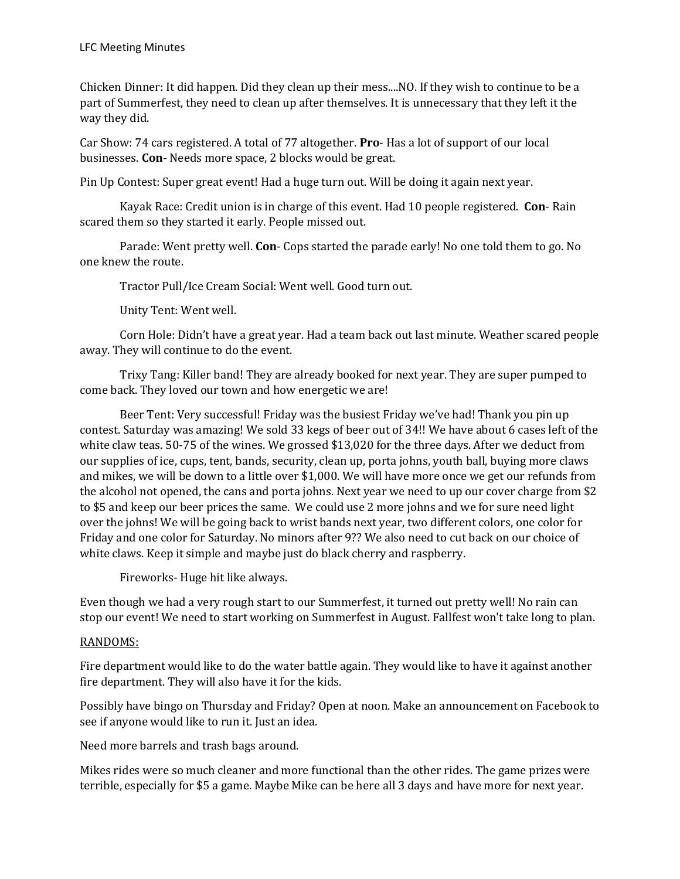Chicken Dinner: It did happen. Did they clean up their mess....NO. If they wish to continue to be a part of Summerfest, they need to clean up after themselves. It is unnecessary that they left it the way they did.

Car Show: 74 cars registered. A total of 77 altogether. **Pro**- Has a lot of support of our local businesses. **Con**- Needs more space, 2 blocks would be great.

Pin Up Contest: Super great event! Had a huge turn out. Will be doing it again next year.

Kayak Race: Credit union is in charge of this event. Had 10 people registered. **Con**- Rain scared them so they started it early. People missed out.

Parade: Went pretty well. **Con**- Cops started the parade early! No one told them to go. No one knew the route.

Tractor Pull/Ice Cream Social: Went well. Good turn out.

Unity Tent: Went well.

Corn Hole: Didn't have a great year. Had a team back out last minute. Weather scared people away. They will continue to do the event.

Trixy Tang: Killer band! They are already booked for next year. They are super pumped to come back. They loved our town and how energetic we are!

Beer Tent: Very successful! Friday was the busiest Friday we've had! Thank you pin up contest. Saturday was amazing! We sold 33 kegs of beer out of 34!! We have about 6 cases left of the white claw teas. 50-75 of the wines. We grossed \$13,020 for the three days. After we deduct from our supplies of ice, cups, tent, bands, security, clean up, porta johns, youth ball, buying more claws and mikes, we will be down to a little over \$1,000. We will have more once we get our refunds from the alcohol not opened, the cans and porta johns. Next year we need to up our cover charge from \$2 to \$5 and keep our beer prices the same. We could use 2 more johns and we for sure need light over the johns! We will be going back to wrist bands next year, two different colors, one color for Friday and one color for Saturday. No minors after 9?? We also need to cut back on our choice of white claws. Keep it simple and maybe just do black cherry and raspberry.

Fireworks- Huge hit like always.

Even though we had a very rough start to our Summerfest, it turned out pretty well! No rain can stop our event! We need to start working on Summerfest in August. Fallfest won't take long to plan.

# RANDOMS:

Fire department would like to do the water battle again. They would like to have it against another fire department. They will also have it for the kids.

Possibly have bingo on Thursday and Friday? Open at noon. Make an announcement on Facebook to see if anyone would like to run it. Just an idea.

Need more barrels and trash bags around.

Mikes rides were so much cleaner and more functional than the other rides. The game prizes were terrible, especially for \$5 a game. Maybe Mike can be here all 3 days and have more for next year.